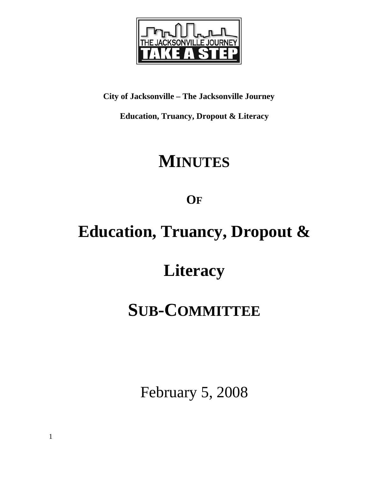

**City of Jacksonville – The Jacksonville Journey** 

**Education, Truancy, Dropout & Literacy** 

# **MINUTES**

**OF**

# **Education, Truancy, Dropout &**

# **Literacy**

# **SUB-COMMITTEE**

February 5, 2008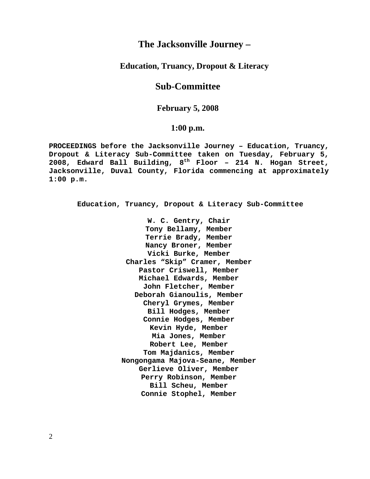# **The Jacksonville Journey –**

## **Education, Truancy, Dropout & Literacy**

# **Sub-Committee**

# **February 5, 2008**

## **1:00 p.m.**

**PROCEEDINGS before the Jacksonville Journey – Education, Truancy, Dropout & Literacy Sub-Committee taken on Tuesday, February 5, 2008, Edward Ball Building, 8th Floor – 214 N. Hogan Street, Jacksonville, Duval County, Florida commencing at approximately 1:00 p.m.** 

**Education, Truancy, Dropout & Literacy Sub-Committee** 

**W. C. Gentry, Chair Tony Bellamy, Member Terrie Brady, Member Nancy Broner, Member Vicki Burke, Member Charles "Skip" Cramer, Member Pastor Criswell, Member Michael Edwards, Member John Fletcher, Member Deborah Gianoulis, Member Cheryl Grymes, Member Bill Hodges, Member Connie Hodges, Member Kevin Hyde, Member Mia Jones, Member Robert Lee, Member Tom Majdanics, Member Nongongama Majova-Seane, Member Gerlieve Oliver, Member Perry Robinson, Member Bill Scheu, Member Connie Stophel, Member**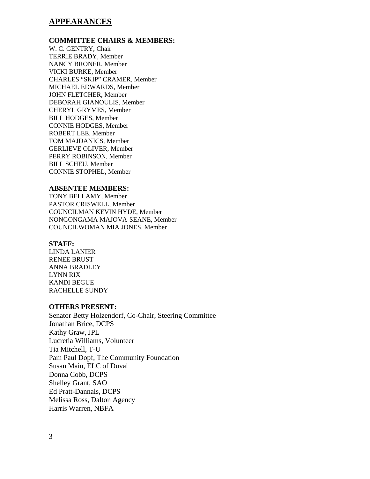# **APPEARANCES**

#### **COMMITTEE CHAIRS & MEMBERS:**

W. C. GENTRY, Chair TERRIE BRADY, Member NANCY BRONER, Member VICKI BURKE, Member CHARLES "SKIP" CRAMER, Member MICHAEL EDWARDS, Member JOHN FLETCHER, Member DEBORAH GIANOULIS, Member CHERYL GRYMES, Member BILL HODGES, Member CONNIE HODGES, Member ROBERT LEE, Member TOM MAJDANICS, Member GERLIEVE OLIVER, Member PERRY ROBINSON, Member BILL SCHEU, Member CONNIE STOPHEL, Member

#### **ABSENTEE MEMBERS:**

TONY BELLAMY, Member PASTOR CRISWELL, Member COUNCILMAN KEVIN HYDE, Member NONGONGAMA MAJOVA-SEANE, Member COUNCILWOMAN MIA JONES, Member

#### **STAFF:**

LINDA LANIER RENEE BRUST ANNA BRADLEY LYNN RIX KANDI BEGUE RACHELLE SUNDY

#### **OTHERS PRESENT:**

Senator Betty Holzendorf, Co-Chair, Steering Committee Jonathan Brice, DCPS Kathy Graw, JPL Lucretia Williams, Volunteer Tia Mitchell, T-U Pam Paul Dopf, The Community Foundation Susan Main, ELC of Duval Donna Cobb, DCPS Shelley Grant, SAO Ed Pratt-Dannals, DCPS Melissa Ross, Dalton Agency Harris Warren, NBFA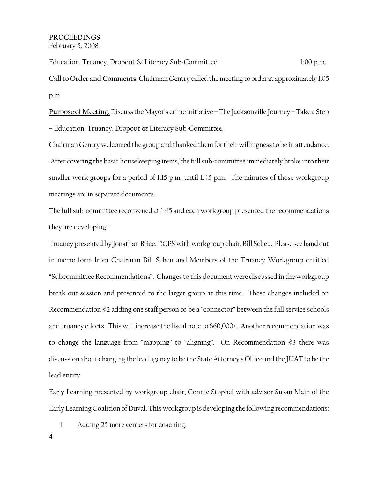# **PROCEEDINGS** February 5, 2008

Education, Truancy, Dropout & Literacy Sub-Committee 1:00 p.m. **Call to Order and Comments.** Chairman Gentry called the meeting to order at approximately 1:05 p.m.

**Purpose of Meeting.** Discuss the Mayor's crime initiative – The Jacksonville Journey – Take a Step – Education, Truancy, Dropout & Literacy Sub-Committee.

Chairman Gentry welcomed the group and thanked them for their willingness to be in attendance. After covering the basic housekeeping items, the full sub-committee immediately broke into their smaller work groups for a period of 1:15 p.m. until 1:45 p.m. The minutes of those workgroup meetings are in separate documents.

The full sub-committee reconvened at 1:45 and each workgroup presented the recommendations they are developing.

Truancy presented by Jonathan Brice, DCPS with workgroup chair, Bill Scheu. Please see hand out in memo form from Chairman Bill Scheu and Members of the Truancy Workgroup entitled "Subcommittee Recommendations". Changes to this document were discussed in the workgroup break out session and presented to the larger group at this time. These changes included on Recommendation #2 adding one staff person to be a "connector" between the full service schools and truancy efforts. This will increase the fiscal note to \$60,000+. Another recommendation was to change the language from "mapping" to "aligning". On Recommendation #3 there was discussion about changing the lead agency to be the State Attorney's Office and the JUAT to be the lead entity.

Early Learning presented by workgroup chair, Connie Stophel with advisor Susan Main of the Early Learning Coalition of Duval. This workgroup is developing the following recommendations:

1. Adding 25 more centers for coaching.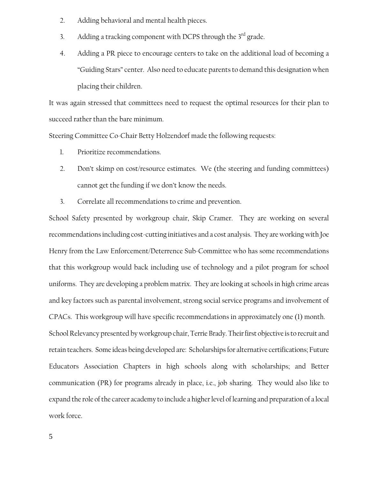- 2. Adding behavioral and mental health pieces.
- 3. Adding a tracking component with DCPS through the  $3<sup>rd</sup>$  grade.
- 4. Adding a PR piece to encourage centers to take on the additional load of becoming a "Guiding Stars" center. Also need to educate parents to demand this designation when placing their children.

It was again stressed that committees need to request the optimal resources for their plan to succeed rather than the bare minimum.

Steering Committee Co-Chair Betty Holzendorf made the following requests:

- 1. Prioritize recommendations.
- 2. Don't skimp on cost/resource estimates. We (the steering and funding committees) cannot get the funding if we don't know the needs.
- 3. Correlate all recommendations to crime and prevention.

School Safety presented by workgroup chair, Skip Cramer. They are working on several recommendations including cost-cutting initiatives and a cost analysis. They are working with Joe Henry from the Law Enforcement/Deterrence Sub-Committee who has some recommendations that this workgroup would back including use of technology and a pilot program for school uniforms. They are developing a problem matrix. They are looking at schools in high crime areas and key factors such as parental involvement, strong social service programs and involvement of CPACs. This workgroup will have specific recommendations in approximately one (1) month. School Relevancy presented by workgroup chair, Terrie Brady. Their first objective is to recruit and retain teachers. Some ideas being developed are: Scholarships for alternative certifications; Future Educators Association Chapters in high schools along with scholarships; and Better communication (PR) for programs already in place, i.e., job sharing. They would also like to expand the role of the career academy to include a higher level of learning and preparation of a local work force.